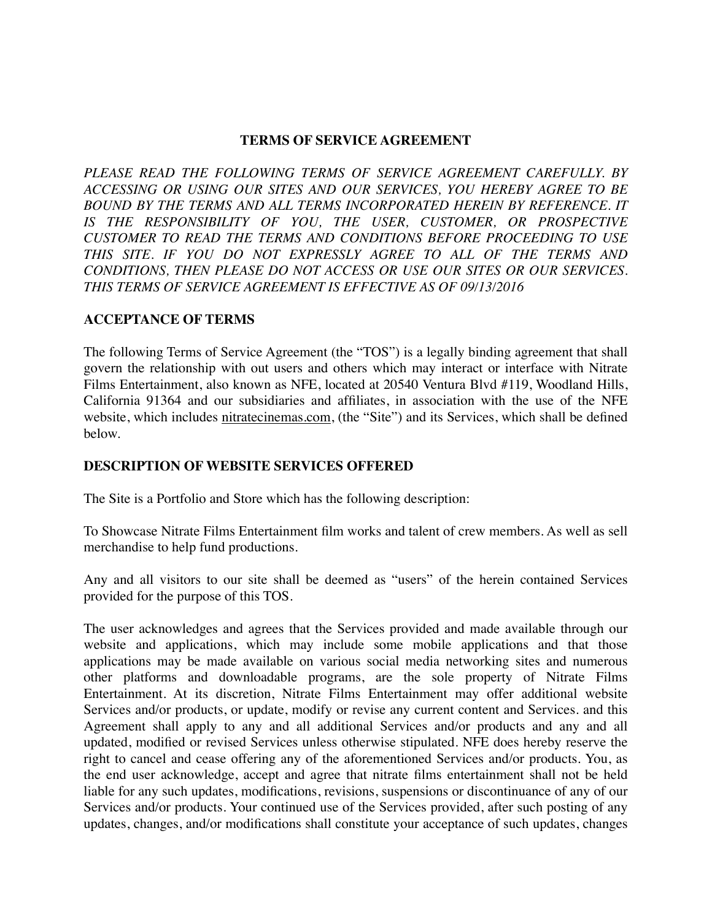### **TERMS OF SERVICE AGREEMENT**

PLEASE READ THE FOLLOWING TERMS OF SERVICE AGREEMENT CAREFULLY. BY *ACCESSING OR USING OUR SITES AND OUR SERVICES, YOU HEREBY AGREE TO BE BOUND BY THE TERMS AND ALL TERMS INCORPORATED HEREIN BY REFERENCE. IT IS THE RESPONSIBILITY OF YOU, THE USER, CUSTOMER, OR PROSPECTIVE CUSTOMER TO READ THE TERMS AND CONDITIONS BEFORE PROCEEDING TO USE THIS SITE. IF YOU DO NOT EXPRESSLY AGREE TO ALL OF THE TERMS AND CONDITIONS, THEN PLEASE DO NOT ACCESS OR USE OUR SITES OR OUR SERVICES. THIS TERMS OF SERVICE AGREEMENT IS EFFECTIVE AS OF 09/13/2016*

# **ACCEPTANCE OF TERMS**

The following Terms of Service Agreement (the "TOS") is a legally binding agreement that shall govern the relationship with out users and others which may interact or interface with Nitrate Films Entertainment, also known as NFE, located at 20540 Ventura Blvd #119, Woodland Hills, California 91364 and our subsidiaries and affiliates, in association with the use of the NFE website, which includes [nitratecinemas.com](http://nitratecinemas.com), (the "Site") and its Services, which shall be defined below.

## **DESCRIPTION OF WEBSITE SERVICES OFFERED**

The Site is a Portfolio and Store which has the following description:

To Showcase Nitrate Films Entertainment film works and talent of crew members. As well as sell merchandise to help fund productions.

Any and all visitors to our site shall be deemed as "users" of the herein contained Services provided for the purpose of this TOS.

The user acknowledges and agrees that the Services provided and made available through our website and applications, which may include some mobile applications and that those applications may be made available on various social media networking sites and numerous other platforms and downloadable programs, are the sole property of Nitrate Films Entertainment. At its discretion, Nitrate Films Entertainment may offer additional website Services and/or products, or update, modify or revise any current content and Services. and this Agreement shall apply to any and all additional Services and/or products and any and all updated, modified or revised Services unless otherwise stipulated. NFE does hereby reserve the right to cancel and cease offering any of the aforementioned Services and/or products. You, as the end user acknowledge, accept and agree that nitrate films entertainment shall not be held liable for any such updates, modifications, revisions, suspensions or discontinuance of any of our Services and/or products. Your continued use of the Services provided, after such posting of any updates, changes, and/or modifications shall constitute your acceptance of such updates, changes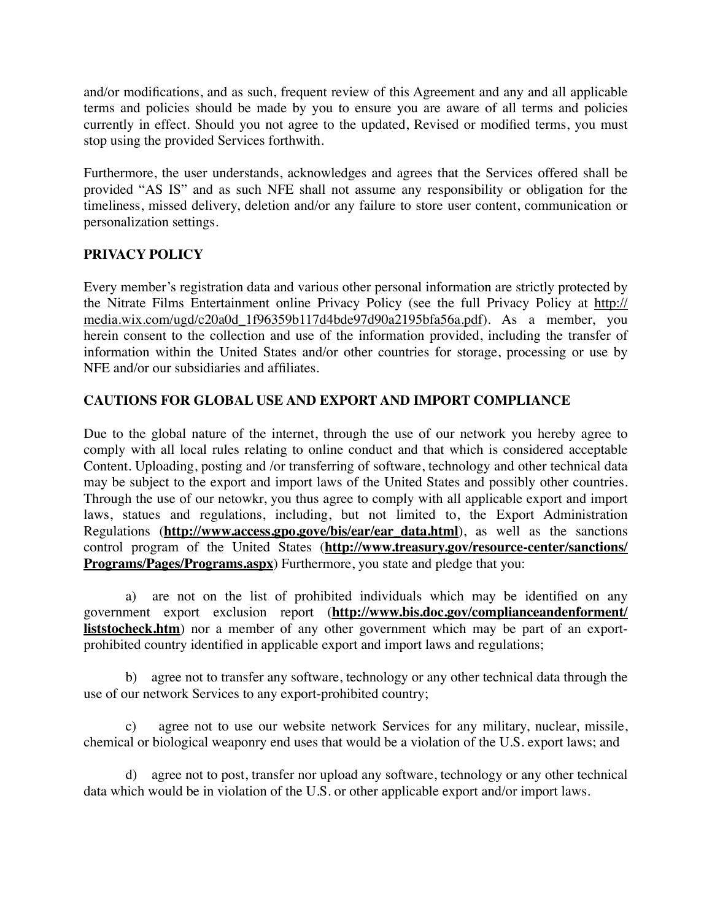and/or modifications, and as such, frequent review of this Agreement and any and all applicable terms and policies should be made by you to ensure you are aware of all terms and policies currently in effect. Should you not agree to the updated, Revised or modified terms, you must stop using the provided Services forthwith.

Furthermore, the user understands, acknowledges and agrees that the Services offered shall be provided "AS IS" and as such NFE shall not assume any responsibility or obligation for the timeliness, missed delivery, deletion and/or any failure to store user content, communication or personalization settings.

## **PRIVACY POLICY**

Every member's registration data and various other personal information are strictly protected by [the Nitrate Films Entertainment online Privacy Policy \(see the full Privacy Policy at http://](http://media.wix.com/ugd/c20a0d_1f96359b117d4bde97d90a2195bfa56a.pdf) media.wix.com/ugd/c20a0d\_1f96359b117d4bde97d90a2195bfa56a.pdf). As a member, you herein consent to the collection and use of the information provided, including the transfer of information within the United States and/or other countries for storage, processing or use by NFE and/or our subsidiaries and affiliates.

# **CAUTIONS FOR GLOBAL USE AND EXPORT AND IMPORT COMPLIANCE**

Due to the global nature of the internet, through the use of our network you hereby agree to comply with all local rules relating to online conduct and that which is considered acceptable Content. Uploading, posting and /or transferring of software, technology and other technical data may be subject to the export and import laws of the United States and possibly other countries. Through the use of our netowkr, you thus agree to comply with all applicable export and import laws, statues and regulations, including, but not limited to, the Export Administration Regulations (**[http://www.access.gpo.gove/bis/ear/ear\\_data.html](http://www.access.gpo.gove/bis/ear/ear_data.html)**), as well as the sanctions control program of the United States (**[http://www.treasury.gov/resource-center/sanctions/](http://www.treasury.gov/resource-center/sanctions/Programs/Pages/Programs.aspx) Programs/Pages/Programs.aspx**) Furthermore, you state and pledge that you:

a) are not on the list of prohibited individuals which may be identified on any government export exclusion report (**http://www.bis.doc.gov/complianceandenforment/ liststocheck.htm**[\) nor a member of any other government which may be part of an export](http://www.bis.doc.gov/complianceandenforment/liststocheck.htm)prohibited country identified in applicable export and import laws and regulations;

b) agree not to transfer any software, technology or any other technical data through the use of our network Services to any export-prohibited country;

agree not to use our website network Services for any military, nuclear, missile, chemical or biological weaponry end uses that would be a violation of the U.S. export laws; and

d) agree not to post, transfer nor upload any software, technology or any other technical data which would be in violation of the U.S. or other applicable export and/or import laws.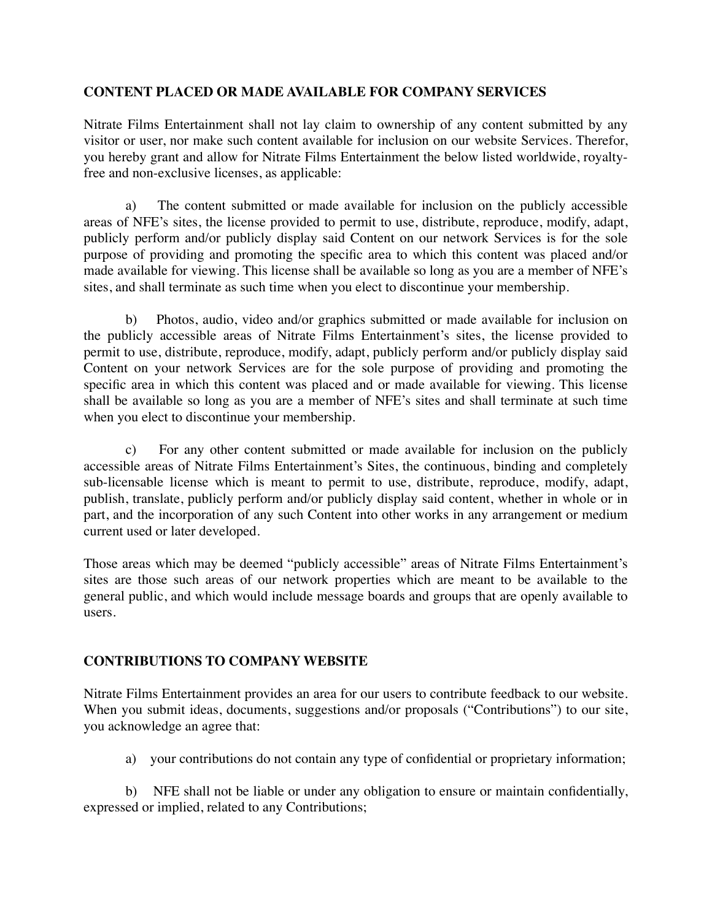## **CONTENT PLACED OR MADE AVAILABLE FOR COMPANY SERVICES**

Nitrate Films Entertainment shall not lay claim to ownership of any content submitted by any visitor or user, nor make such content available for inclusion on our website Services. Therefor, you hereby grant and allow for Nitrate Films Entertainment the below listed worldwide, royaltyfree and non-exclusive licenses, as applicable:

a) The content submitted or made available for inclusion on the publicly accessible areas of NFE's sites, the license provided to permit to use, distribute, reproduce, modify, adapt, publicly perform and/or publicly display said Content on our network Services is for the sole purpose of providing and promoting the specific area to which this content was placed and/or made available for viewing. This license shall be available so long as you are a member of NFE's sites, and shall terminate as such time when you elect to discontinue your membership.

b) Photos, audio, video and/or graphics submitted or made available for inclusion on the publicly accessible areas of Nitrate Films Entertainment's sites, the license provided to permit to use, distribute, reproduce, modify, adapt, publicly perform and/or publicly display said Content on your network Services are for the sole purpose of providing and promoting the specific area in which this content was placed and or made available for viewing. This license shall be available so long as you are a member of NFE's sites and shall terminate at such time when you elect to discontinue your membership.

c) For any other content submitted or made available for inclusion on the publicly accessible areas of Nitrate Films Entertainment's Sites, the continuous, binding and completely sub-licensable license which is meant to permit to use, distribute, reproduce, modify, adapt, publish, translate, publicly perform and/or publicly display said content, whether in whole or in part, and the incorporation of any such Content into other works in any arrangement or medium current used or later developed.

Those areas which may be deemed "publicly accessible" areas of Nitrate Films Entertainment's sites are those such areas of our network properties which are meant to be available to the general public, and which would include message boards and groups that are openly available to users.

# **CONTRIBUTIONS TO COMPANY WEBSITE**

Nitrate Films Entertainment provides an area for our users to contribute feedback to our website. When you submit ideas, documents, suggestions and/or proposals ("Contributions") to our site, you acknowledge an agree that:

a) your contributions do not contain any type of confidential or proprietary information;

b) NFE shall not be liable or under any obligation to ensure or maintain confidentially, expressed or implied, related to any Contributions;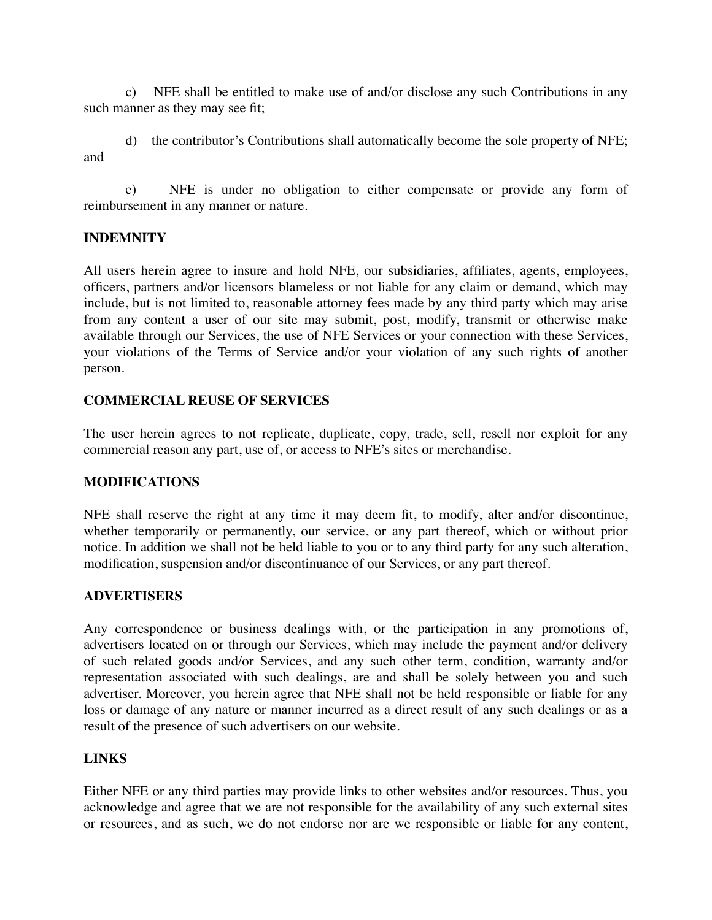c) NFE shall be entitled to make use of and/or disclose any such Contributions in any such manner as they may see fit;

d) the contributor's Contributions shall automatically become the sole property of NFE; and

e) NFE is under no obligation to either compensate or provide any form of reimbursement in any manner or nature.

## **INDEMNITY**

All users herein agree to insure and hold NFE, our subsidiaries, affiliates, agents, employees, officers, partners and/or licensors blameless or not liable for any claim or demand, which may include, but is not limited to, reasonable attorney fees made by any third party which may arise from any content a user of our site may submit, post, modify, transmit or otherwise make available through our Services, the use of NFE Services or your connection with these Services, your violations of the Terms of Service and/or your violation of any such rights of another person.

## **COMMERCIAL REUSE OF SERVICES**

The user herein agrees to not replicate, duplicate, copy, trade, sell, resell nor exploit for any commercial reason any part, use of, or access to NFE's sites or merchandise.

### **MODIFICATIONS**

NFE shall reserve the right at any time it may deem fit, to modify, alter and/or discontinue, whether temporarily or permanently, our service, or any part thereof, which or without prior notice. In addition we shall not be held liable to you or to any third party for any such alteration, modification, suspension and/or discontinuance of our Services, or any part thereof.

### **ADVERTISERS**

Any correspondence or business dealings with, or the participation in any promotions of, advertisers located on or through our Services, which may include the payment and/or delivery of such related goods and/or Services, and any such other term, condition, warranty and/or representation associated with such dealings, are and shall be solely between you and such advertiser. Moreover, you herein agree that NFE shall not be held responsible or liable for any loss or damage of any nature or manner incurred as a direct result of any such dealings or as a result of the presence of such advertisers on our website.

### **LINKS**

Either NFE or any third parties may provide links to other websites and/or resources. Thus, you acknowledge and agree that we are not responsible for the availability of any such external sites or resources, and as such, we do not endorse nor are we responsible or liable for any content,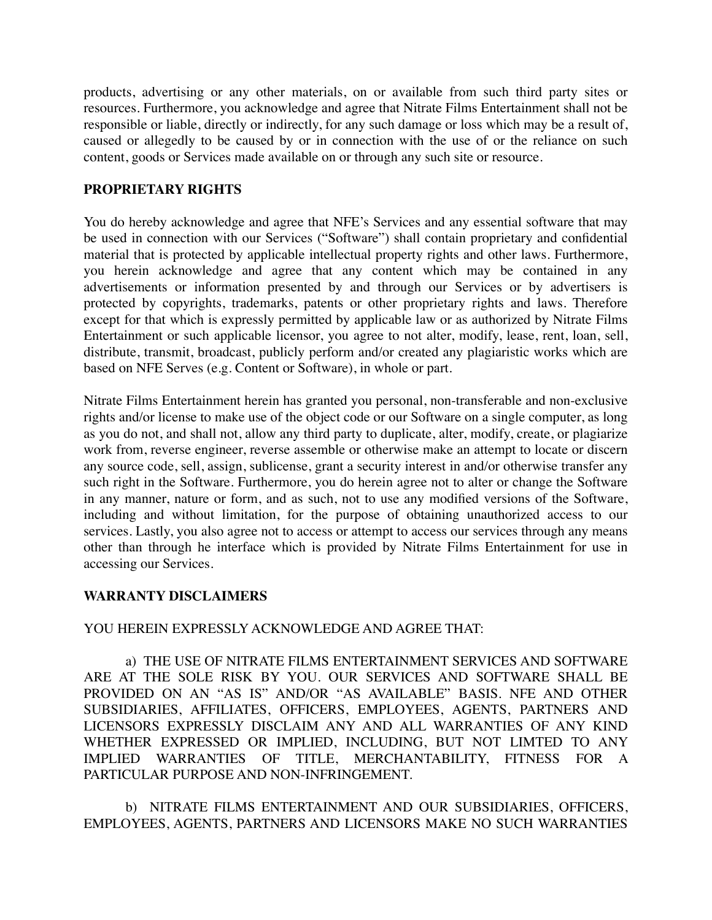products, advertising or any other materials, on or available from such third party sites or resources. Furthermore, you acknowledge and agree that Nitrate Films Entertainment shall not be responsible or liable, directly or indirectly, for any such damage or loss which may be a result of, caused or allegedly to be caused by or in connection with the use of or the reliance on such content, goods or Services made available on or through any such site or resource.

## **PROPRIETARY RIGHTS**

You do hereby acknowledge and agree that NFE's Services and any essential software that may be used in connection with our Services ("Software") shall contain proprietary and confidential material that is protected by applicable intellectual property rights and other laws. Furthermore, you herein acknowledge and agree that any content which may be contained in any advertisements or information presented by and through our Services or by advertisers is protected by copyrights, trademarks, patents or other proprietary rights and laws. Therefore except for that which is expressly permitted by applicable law or as authorized by Nitrate Films Entertainment or such applicable licensor, you agree to not alter, modify, lease, rent, loan, sell, distribute, transmit, broadcast, publicly perform and/or created any plagiaristic works which are based on NFE Serves (e.g. Content or Software), in whole or part.

Nitrate Films Entertainment herein has granted you personal, non-transferable and non-exclusive rights and/or license to make use of the object code or our Software on a single computer, as long as you do not, and shall not, allow any third party to duplicate, alter, modify, create, or plagiarize work from, reverse engineer, reverse assemble or otherwise make an attempt to locate or discern any source code, sell, assign, sublicense, grant a security interest in and/or otherwise transfer any such right in the Software. Furthermore, you do herein agree not to alter or change the Software in any manner, nature or form, and as such, not to use any modified versions of the Software, including and without limitation, for the purpose of obtaining unauthorized access to our services. Lastly, you also agree not to access or attempt to access our services through any means other than through he interface which is provided by Nitrate Films Entertainment for use in accessing our Services.

### **WARRANTY DISCLAIMERS**

### YOU HEREIN EXPRESSLY ACKNOWLEDGE AND AGREE THAT:

a) THE USE OF NITRATE FILMS ENTERTAINMENT SERVICES AND SOFTWARE ARE AT THE SOLE RISK BY YOU. OUR SERVICES AND SOFTWARE SHALL BE PROVIDED ON AN "AS IS" AND/OR "AS AVAILABLE" BASIS. NFE AND OTHER SUBSIDIARIES, AFFILIATES, OFFICERS, EMPLOYEES, AGENTS, PARTNERS AND LICENSORS EXPRESSLY DISCLAIM ANY AND ALL WARRANTIES OF ANY KIND WHETHER EXPRESSED OR IMPLIED, INCLUDING, BUT NOT LIMTED TO ANY IMPLIED WARRANTIES OF TITLE, MERCHANTABILITY, FITNESS FOR A PARTICULAR PURPOSE AND NON-INFRINGEMENT.

b) NITRATE FILMS ENTERTAINMENT AND OUR SUBSIDIARIES, OFFICERS, EMPLOYEES, AGENTS, PARTNERS AND LICENSORS MAKE NO SUCH WARRANTIES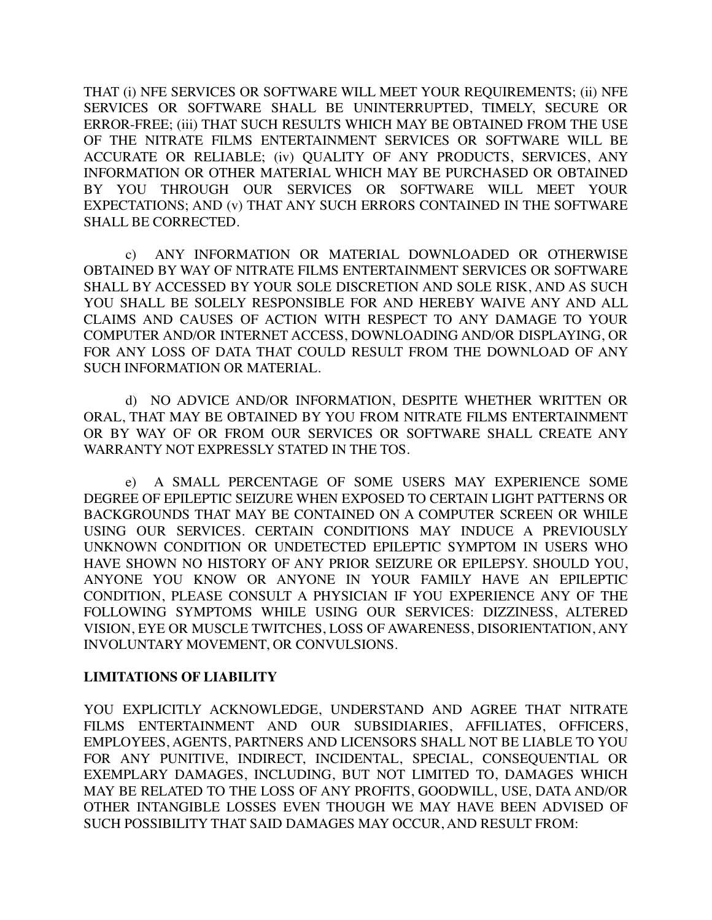THAT (i) NFE SERVICES OR SOFTWARE WILL MEET YOUR REQUIREMENTS; (ii) NFE SERVICES OR SOFTWARE SHALL BE UNINTERRUPTED, TIMELY, SECURE OR ERROR-FREE; (iii) THAT SUCH RESULTS WHICH MAY BE OBTAINED FROM THE USE OF THE NITRATE FILMS ENTERTAINMENT SERVICES OR SOFTWARE WILL BE ACCURATE OR RELIABLE; (iv) QUALITY OF ANY PRODUCTS, SERVICES, ANY INFORMATION OR OTHER MATERIAL WHICH MAY BE PURCHASED OR OBTAINED BY YOU THROUGH OUR SERVICES OR SOFTWARE WILL MEET YOUR EXPECTATIONS; AND (v) THAT ANY SUCH ERRORS CONTAINED IN THE SOFTWARE SHALL BE CORRECTED.

c) ANY INFORMATION OR MATERIAL DOWNLOADED OR OTHERWISE OBTAINED BY WAY OF NITRATE FILMS ENTERTAINMENT SERVICES OR SOFTWARE SHALL BY ACCESSED BY YOUR SOLE DISCRETION AND SOLE RISK, AND AS SUCH YOU SHALL BE SOLELY RESPONSIBLE FOR AND HEREBY WAIVE ANY AND ALL CLAIMS AND CAUSES OF ACTION WITH RESPECT TO ANY DAMAGE TO YOUR COMPUTER AND/OR INTERNET ACCESS, DOWNLOADING AND/OR DISPLAYING, OR FOR ANY LOSS OF DATA THAT COULD RESULT FROM THE DOWNLOAD OF ANY SUCH INFORMATION OR MATERIAL.

d) NO ADVICE AND/OR INFORMATION, DESPITE WHETHER WRITTEN OR ORAL, THAT MAY BE OBTAINED BY YOU FROM NITRATE FILMS ENTERTAINMENT OR BY WAY OF OR FROM OUR SERVICES OR SOFTWARE SHALL CREATE ANY WARRANTY NOT EXPRESSLY STATED IN THE TOS.

e) A SMALL PERCENTAGE OF SOME USERS MAY EXPERIENCE SOME DEGREE OF EPILEPTIC SEIZURE WHEN EXPOSED TO CERTAIN LIGHT PATTERNS OR BACKGROUNDS THAT MAY BE CONTAINED ON A COMPUTER SCREEN OR WHILE USING OUR SERVICES. CERTAIN CONDITIONS MAY INDUCE A PREVIOUSLY UNKNOWN CONDITION OR UNDETECTED EPILEPTIC SYMPTOM IN USERS WHO HAVE SHOWN NO HISTORY OF ANY PRIOR SEIZURE OR EPILEPSY. SHOULD YOU, ANYONE YOU KNOW OR ANYONE IN YOUR FAMILY HAVE AN EPILEPTIC CONDITION, PLEASE CONSULT A PHYSICIAN IF YOU EXPERIENCE ANY OF THE FOLLOWING SYMPTOMS WHILE USING OUR SERVICES: DIZZINESS, ALTERED VISION, EYE OR MUSCLE TWITCHES, LOSS OF AWARENESS, DISORIENTATION, ANY INVOLUNTARY MOVEMENT, OR CONVULSIONS.

### **LIMITATIONS OF LIABILITY**

YOU EXPLICITLY ACKNOWLEDGE, UNDERSTAND AND AGREE THAT NITRATE FILMS ENTERTAINMENT AND OUR SUBSIDIARIES, AFFILIATES, OFFICERS, EMPLOYEES, AGENTS, PARTNERS AND LICENSORS SHALL NOT BE LIABLE TO YOU FOR ANY PUNITIVE, INDIRECT, INCIDENTAL, SPECIAL, CONSEQUENTIAL OR EXEMPLARY DAMAGES, INCLUDING, BUT NOT LIMITED TO, DAMAGES WHICH MAY BE RELATED TO THE LOSS OF ANY PROFITS, GOODWILL, USE, DATA AND/OR OTHER INTANGIBLE LOSSES EVEN THOUGH WE MAY HAVE BEEN ADVISED OF SUCH POSSIBILITY THAT SAID DAMAGES MAY OCCUR, AND RESULT FROM: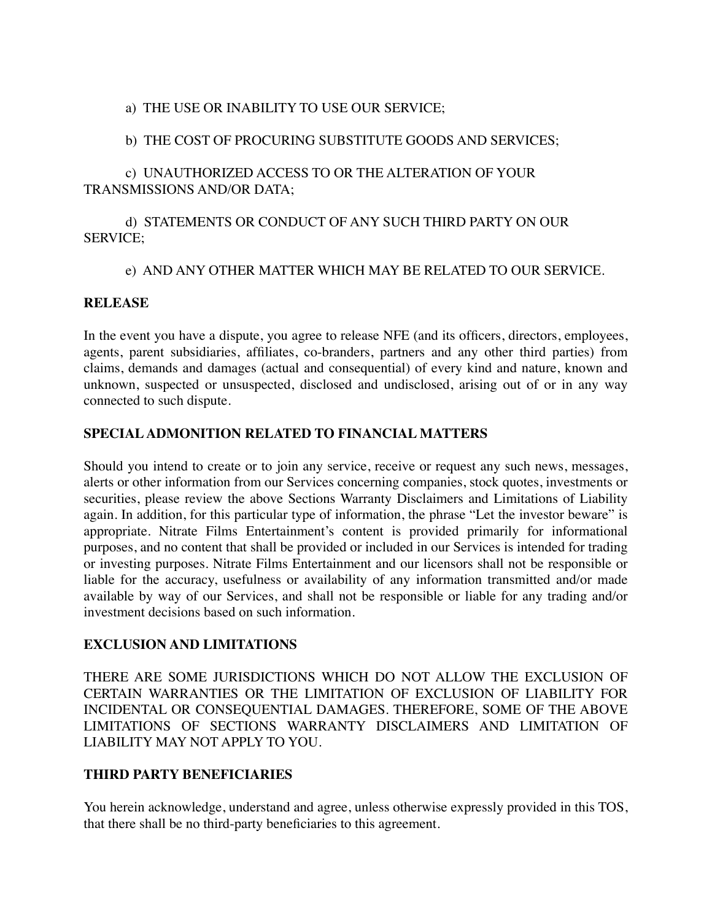## a) THE USE OR INABILITY TO USE OUR SERVICE;

## b) THE COST OF PROCURING SUBSTITUTE GOODS AND SERVICES;

# c) UNAUTHORIZED ACCESS TO OR THE ALTERATION OF YOUR TRANSMISSIONS AND/OR DATA;

# d) STATEMENTS OR CONDUCT OF ANY SUCH THIRD PARTY ON OUR SERVICE;

## e) AND ANY OTHER MATTER WHICH MAY BE RELATED TO OUR SERVICE.

## **RELEASE**

In the event you have a dispute, you agree to release NFE (and its officers, directors, employees, agents, parent subsidiaries, affiliates, co-branders, partners and any other third parties) from claims, demands and damages (actual and consequential) of every kind and nature, known and unknown, suspected or unsuspected, disclosed and undisclosed, arising out of or in any way connected to such dispute.

## **SPECIAL ADMONITION RELATED TO FINANCIAL MATTERS**

Should you intend to create or to join any service, receive or request any such news, messages, alerts or other information from our Services concerning companies, stock quotes, investments or securities, please review the above Sections Warranty Disclaimers and Limitations of Liability again. In addition, for this particular type of information, the phrase "Let the investor beware" is appropriate. Nitrate Films Entertainment's content is provided primarily for informational purposes, and no content that shall be provided or included in our Services is intended for trading or investing purposes. Nitrate Films Entertainment and our licensors shall not be responsible or liable for the accuracy, usefulness or availability of any information transmitted and/or made available by way of our Services, and shall not be responsible or liable for any trading and/or investment decisions based on such information.

### **EXCLUSION AND LIMITATIONS**

THERE ARE SOME JURISDICTIONS WHICH DO NOT ALLOW THE EXCLUSION OF CERTAIN WARRANTIES OR THE LIMITATION OF EXCLUSION OF LIABILITY FOR INCIDENTAL OR CONSEQUENTIAL DAMAGES. THEREFORE, SOME OF THE ABOVE LIMITATIONS OF SECTIONS WARRANTY DISCLAIMERS AND LIMITATION OF LIABILITY MAY NOT APPLY TO YOU.

# **THIRD PARTY BENEFICIARIES**

You herein acknowledge, understand and agree, unless otherwise expressly provided in this TOS, that there shall be no third-party beneficiaries to this agreement.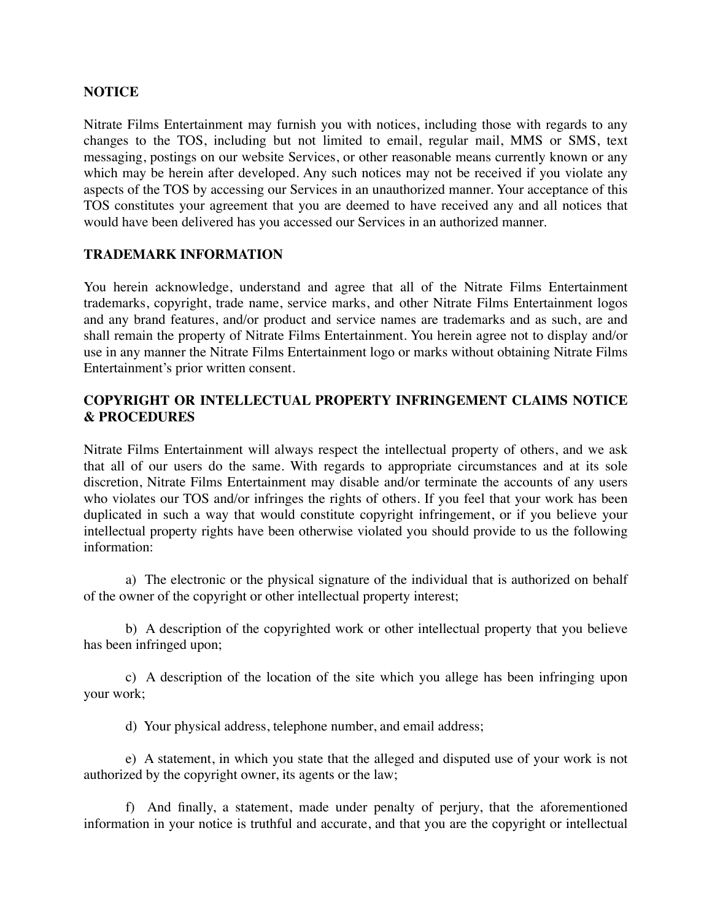### **NOTICE**

Nitrate Films Entertainment may furnish you with notices, including those with regards to any changes to the TOS, including but not limited to email, regular mail, MMS or SMS, text messaging, postings on our website Services, or other reasonable means currently known or any which may be herein after developed. Any such notices may not be received if you violate any aspects of the TOS by accessing our Services in an unauthorized manner. Your acceptance of this TOS constitutes your agreement that you are deemed to have received any and all notices that would have been delivered has you accessed our Services in an authorized manner.

#### **TRADEMARK INFORMATION**

You herein acknowledge, understand and agree that all of the Nitrate Films Entertainment trademarks, copyright, trade name, service marks, and other Nitrate Films Entertainment logos and any brand features, and/or product and service names are trademarks and as such, are and shall remain the property of Nitrate Films Entertainment. You herein agree not to display and/or use in any manner the Nitrate Films Entertainment logo or marks without obtaining Nitrate Films Entertainment's prior written consent.

## **COPYRIGHT OR INTELLECTUAL PROPERTY INFRINGEMENT CLAIMS NOTICE & PROCEDURES**

Nitrate Films Entertainment will always respect the intellectual property of others, and we ask that all of our users do the same. With regards to appropriate circumstances and at its sole discretion, Nitrate Films Entertainment may disable and/or terminate the accounts of any users who violates our TOS and/or infringes the rights of others. If you feel that your work has been duplicated in such a way that would constitute copyright infringement, or if you believe your intellectual property rights have been otherwise violated you should provide to us the following information:

a) The electronic or the physical signature of the individual that is authorized on behalf of the owner of the copyright or other intellectual property interest;

b) A description of the copyrighted work or other intellectual property that you believe has been infringed upon;

c) A description of the location of the site which you allege has been infringing upon your work;

d) Your physical address, telephone number, and email address;

e) A statement, in which you state that the alleged and disputed use of your work is not authorized by the copyright owner, its agents or the law;

f) And finally, a statement, made under penalty of perjury, that the aforementioned information in your notice is truthful and accurate, and that you are the copyright or intellectual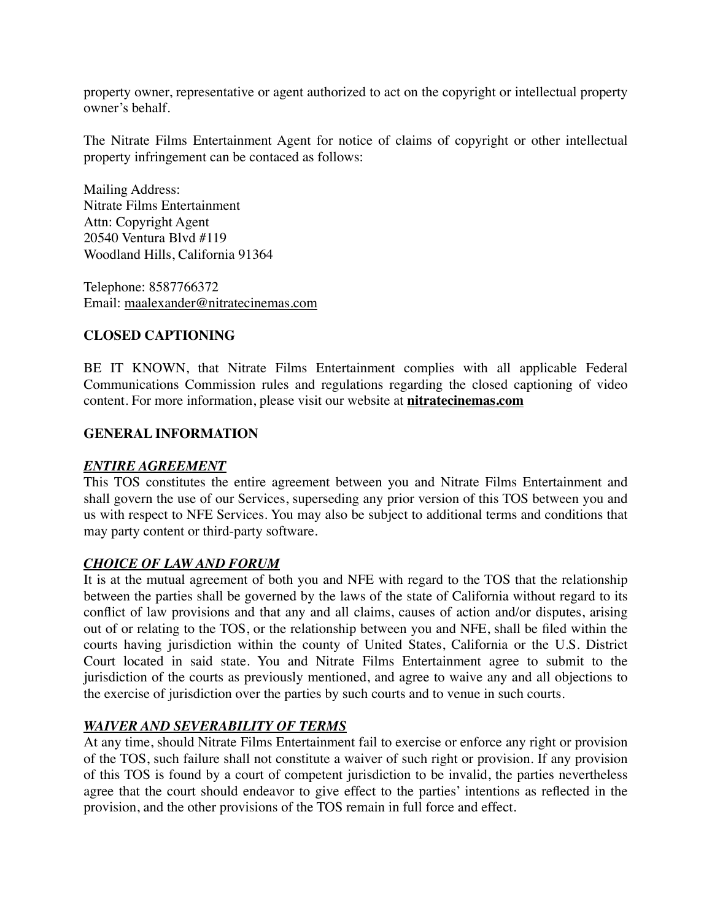property owner, representative or agent authorized to act on the copyright or intellectual property owner's behalf.

The Nitrate Films Entertainment Agent for notice of claims of copyright or other intellectual property infringement can be contaced as follows:

Mailing Address: Nitrate Films Entertainment Attn: Copyright Agent 20540 Ventura Blvd #119 Woodland Hills, California 91364

Telephone: 8587766372 Email: [maalexander@nitratecinemas.com](mailto:maalexander@nitratecinemas.com)

# **CLOSED CAPTIONING**

BE IT KNOWN, that Nitrate Films Entertainment complies with all applicable Federal Communications Commission rules and regulations regarding the closed captioning of video content. For more information, please visit our website at **[nitratecinemas.com](http://nitratecinemas.com)**

## **GENERAL INFORMATION**

### *ENTIRE AGREEMENT*

This TOS constitutes the entire agreement between you and Nitrate Films Entertainment and shall govern the use of our Services, superseding any prior version of this TOS between you and us with respect to NFE Services. You may also be subject to additional terms and conditions that may party content or third-party software.

### *CHOICE OF LAW AND FORUM*

It is at the mutual agreement of both you and NFE with regard to the TOS that the relationship between the parties shall be governed by the laws of the state of California without regard to its conflict of law provisions and that any and all claims, causes of action and/or disputes, arising out of or relating to the TOS, or the relationship between you and NFE, shall be filed within the courts having jurisdiction within the county of United States, California or the U.S. District Court located in said state. You and Nitrate Films Entertainment agree to submit to the jurisdiction of the courts as previously mentioned, and agree to waive any and all objections to the exercise of jurisdiction over the parties by such courts and to venue in such courts.

### *WAIVER AND SEVERABILITY OF TERMS*

At any time, should Nitrate Films Entertainment fail to exercise or enforce any right or provision of the TOS, such failure shall not constitute a waiver of such right or provision. If any provision of this TOS is found by a court of competent jurisdiction to be invalid, the parties nevertheless agree that the court should endeavor to give effect to the parties' intentions as reflected in the provision, and the other provisions of the TOS remain in full force and effect.